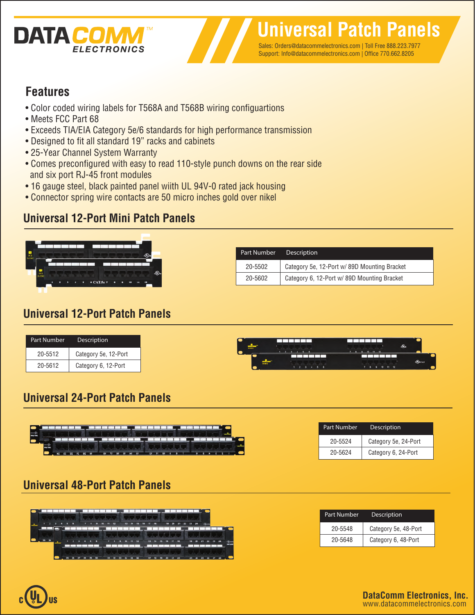

Sales: Orders@datacommelectronics.com | Toll Free 888.223.7977 Support: Info@datacommelectronics.com | Office 770.662.8205

## **Features**

- Color coded wiring labels for T568A and T568B wiring configuartions
- Meets FCC Part 68
- Exceeds TIA/EIA Category 5e/6 standards for high performance transmission
- Designed to fit all standard 19" racks and cabinets
- 25-Year Channel System Warranty
- Comes preconfigured with easy to read 110-style punch downs on the rear side and six port RJ-45 front modules
- 16 gauge steel, black painted panel wiith UL 94V-0 rated jack housing
- Connector spring wire contacts are 50 micro inches gold over nikel

# **Universal 12-Port Mini Patch Panels**



| Part Number | <b>Description</b>                          |
|-------------|---------------------------------------------|
| 20-5502     | Category 5e, 12-Port w/89D Mounting Bracket |
| 20-5602     | Category 6, 12-Port w/ 89D Mounting Bracket |

## **Universal 12-Port Patch Panels**

| <b>SAME AND INCOME.</b> |         | .                                  | 10 11 12        |
|-------------------------|---------|------------------------------------|-----------------|
|                         |         |                                    |                 |
|                         | 70.5467 | $\sim$<br>$\overline{\phantom{a}}$ | 10 11 12<br>. . |

# **Universal 24-Port Patch Panels**



| Part Number | Description          |
|-------------|----------------------|
| 20-5524     | Category 5e, 24-Port |
| 20-5624     | Category 6, 24-Port  |

# **Universal 48-Port Patch Panels**



| Part Number | Description          |
|-------------|----------------------|
| 20-5548     | Category 5e, 48-Port |
| 20-5648     | Category 6, 48-Port  |